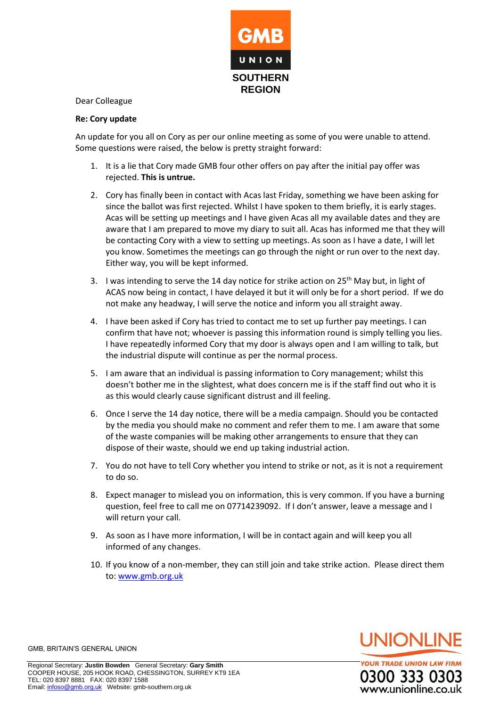

Dear Colleague

## **Re: Cory update**

An update for you all on Cory as per our online meeting as some of you were unable to attend. Some questions were raised, the below is pretty straight forward:

- 1. It is a lie that Cory made GMB four other offers on pay after the initial pay offer was rejected. **This is untrue.**
- 2. Cory has finally been in contact with Acas last Friday, something we have been asking for since the ballot was first rejected. Whilst I have spoken to them briefly, it is early stages. Acas will be setting up meetings and I have given Acas all my available dates and they are aware that I am prepared to move my diary to suit all. Acas has informed me that they will be contacting Cory with a view to setting up meetings. As soon as I have a date, I will let you know. Sometimes the meetings can go through the night or run over to the next day. Either way, you will be kept informed.
- 3. I was intending to serve the 14 day notice for strike action on  $25<sup>th</sup>$  May but, in light of ACAS now being in contact, I have delayed it but it will only be for a short period. If we do not make any headway, I will serve the notice and inform you all straight away.
- 4. I have been asked if Cory has tried to contact me to set up further pay meetings. I can confirm that have not; whoever is passing this information round is simply telling you lies. I have repeatedly informed Cory that my door is always open and I am willing to talk, but the industrial dispute will continue as per the normal process.
- 5. I am aware that an individual is passing information to Cory management; whilst this doesn't bother me in the slightest, what does concern me is if the staff find out who it is as this would clearly cause significant distrust and ill feeling.
- 6. Once I serve the 14 day notice, there will be a media campaign. Should you be contacted by the media you should make no comment and refer them to me. I am aware that some of the waste companies will be making other arrangements to ensure that they can dispose of their waste, should we end up taking industrial action.
- 7. You do not have to tell Cory whether you intend to strike or not, as it is not a requirement to do so.
- 8. Expect manager to mislead you on information, this is very common. If you have a burning question, feel free to call me on 07714239092. If I don't answer, leave a message and I will return your call.
- 9. As soon as I have more information, I will be in contact again and will keep you all informed of any changes.
- 10. If you know of a non-member, they can still join and take strike action. Please direct them to: [www.gmb.org.uk](http://www.gmb.org.uk/)



**YOUR TRADE UNION LAW FIRM** 0300 333 03 vww.unionline.co.uk

GMB, BRITAIN'S GENERAL UNION